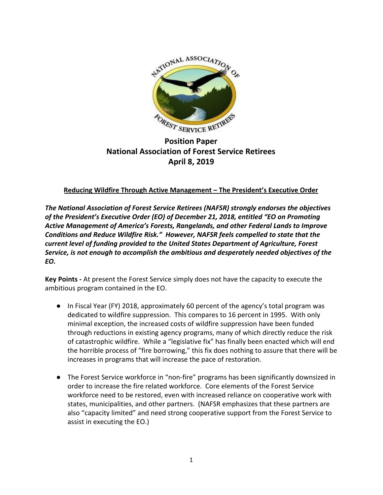

**Position Paper National Association of Forest Service Retirees April 8, 2019**

## **Reducing Wildfire Through Active Management – The President's Executive Order**

*The National Association of Forest Service Retirees (NAFSR) strongly endorses the objectives of the President's Executive Order (EO) of December 21, 2018, entitled "EO on Promoting Active Management of America's Forests, Rangelands, and other Federal Lands to Improve Conditions and Reduce Wildfire Risk." However, NAFSR feels compelled to state that the current level of funding provided to the United States Department of Agriculture, Forest Service, is not enough to accomplish the ambitious and desperately needed objectives of the EO.*

**Key Points -** At present the Forest Service simply does not have the capacity to execute the ambitious program contained in the EO.

- In Fiscal Year (FY) 2018, approximately 60 percent of the agency's total program was dedicated to wildfire suppression. This compares to 16 percent in 1995. With only minimal exception, the increased costs of wildfire suppression have been funded through reductions in existing agency programs, many of which directly reduce the risk of catastrophic wildfire. While a "legislative fix" has finally been enacted which will end the horrible process of "fire borrowing," this fix does nothing to assure that there will be increases in programs that will increase the pace of restoration.
- The Forest Service workforce in "non-fire" programs has been significantly downsized in order to increase the fire related workforce. Core elements of the Forest Service workforce need to be restored, even with increased reliance on cooperative work with states, municipalities, and other partners. (NAFSR emphasizes that these partners are also "capacity limited" and need strong cooperative support from the Forest Service to assist in executing the EO.)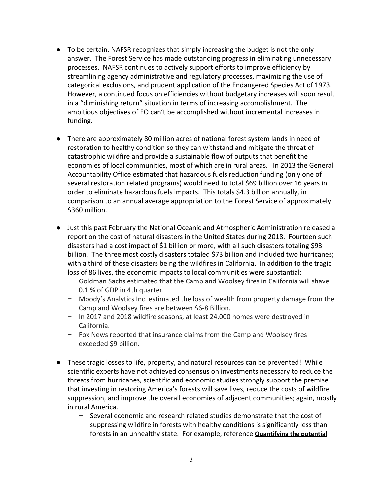- To be certain, NAFSR recognizes that simply increasing the budget is not the only answer. The Forest Service has made outstanding progress in eliminating unnecessary processes. NAFSR continues to actively support efforts to improve efficiency by streamlining agency administrative and regulatory processes, maximizing the use of categorical exclusions, and prudent application of the Endangered Species Act of 1973. However, a continued focus on efficiencies without budgetary increases will soon result in a "diminishing return" situation in terms of increasing accomplishment. The ambitious objectives of EO can't be accomplished without incremental increases in funding.
- There are approximately 80 million acres of national forest system lands in need of restoration to healthy condition so they can withstand and mitigate the threat of catastrophic wildfire and provide a sustainable flow of outputs that benefit the economies of local communities, most of which are in rural areas. In 2013 the General Accountability Office estimated that hazardous fuels reduction funding (only one of several restoration related programs) would need to total \$69 billion over 16 years in order to eliminate hazardous fuels impacts. This totals \$4.3 billion annually, in comparison to an annual average appropriation to the Forest Service of approximately \$360 million.
- Just this past February the National Oceanic and Atmospheric Administration released a report on the cost of natural disasters in the United States during 2018. Fourteen such disasters had a cost impact of \$1 billion or more, with all such disasters totaling \$93 billion. The three most costly disasters totaled \$73 billion and included two hurricanes; with a third of these disasters being the wildfires in California. In addition to the tragic loss of 86 lives, the economic impacts to local communities were substantial:
	- − Goldman Sachs estimated that the Camp and Woolsey fires in California will shave 0.1 % of GDP in 4th quarter.
	- − Moody's Analytics Inc. estimated the loss of wealth from property damage from the Camp and Woolsey fires are between \$6-8 Billion.
	- − In 2017 and 2018 wildfire seasons, at least 24,000 homes were destroyed in California.
	- − Fox News reported that insurance claims from the Camp and Woolsey fires exceeded \$9 billion.
- These tragic losses to life, property, and natural resources can be prevented! While scientific experts have not achieved consensus on investments necessary to reduce the threats from hurricanes, scientific and economic studies strongly support the premise that investing in restoring America's forests will save lives, reduce the costs of wildfire suppression, and improve the overall economies of adjacent communities; again, mostly in rural America.
	- Several economic and research related studies demonstrate that the cost of suppressing wildfire in forests with healthy conditions is significantly less than forests in an unhealthy state. For example, reference **Quantifying the potential**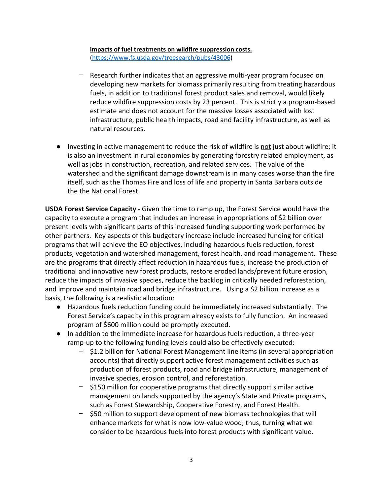## **impacts of fuel treatments on wildfire suppression costs.** [\(https://www.fs.usda.gov/treesearch/pubs/43006](https://www.fs.usda.gov/treesearch/pubs/43006))

- − Research further indicates that an aggressive multi-year program focused on developing new markets for biomass primarily resulting from treating hazardous fuels, in addition to traditional forest product sales and removal, would likely reduce wildfire suppression costs by 23 percent. This is strictly a program-based estimate and does not account for the massive losses associated with lost infrastructure, public health impacts, road and facility infrastructure, as well as natural resources.
- Investing in active management to reduce the risk of wildfire is not just about wildfire; it is also an investment in rural economies by generating forestry related employment, as well as jobs in construction, recreation, and related services. The value of the watershed and the significant damage downstream is in many cases worse than the fire itself, such as the Thomas Fire and loss of life and property in Santa Barbara outside the the National Forest.

**USDA Forest Service Capacity -** Given the time to ramp up, the Forest Service would have the capacity to execute a program that includes an increase in appropriations of \$2 billion over present levels with significant parts of this increased funding supporting work performed by other partners. Key aspects of this budgetary increase include increased funding for critical programs that will achieve the EO objectives, including hazardous fuels reduction, forest products, vegetation and watershed management, forest health, and road management. These are the programs that directly affect reduction in hazardous fuels, increase the production of traditional and innovative new forest products, restore eroded lands/prevent future erosion, reduce the impacts of invasive species, reduce the backlog in critically needed reforestation, and improve and maintain road and bridge infrastructure. Using a \$2 billion increase as a basis, the following is a realistic allocation:

- Hazardous fuels reduction funding could be immediately increased substantially. The Forest Service's capacity in this program already exists to fully function. An increased program of \$600 million could be promptly executed.
- In addition to the immediate increase for hazardous fuels reduction, a three-year ramp-up to the following funding levels could also be effectively executed:
	- − \$1.2 billion for National Forest Management line items (in several appropriation accounts) that directly support active forest management activities such as production of forest products, road and bridge infrastructure, management of invasive species, erosion control, and reforestation.
	- − \$150 million for cooperative programs that directly support similar active management on lands supported by the agency's State and Private programs, such as Forest Stewardship, Cooperative Forestry, and Forest Health.
	- \$50 million to support development of new biomass technologies that will enhance markets for what is now low-value wood; thus, turning what we consider to be hazardous fuels into forest products with significant value.